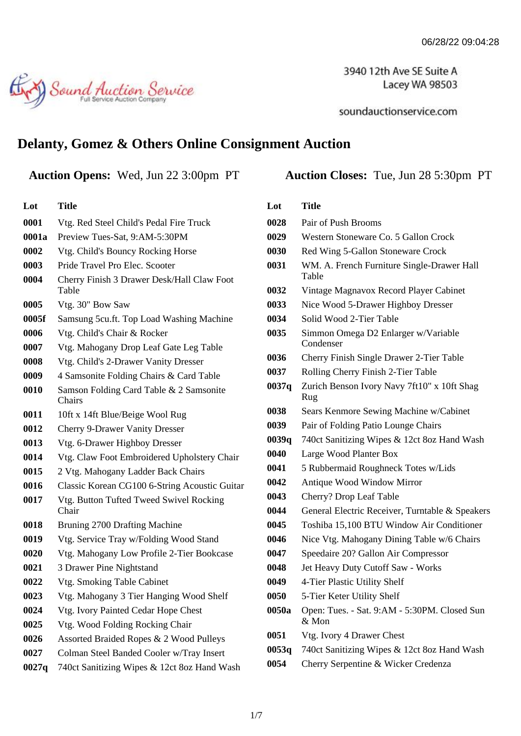3940 12th Ave SE Suite A Lacey WA 98503

soundauctionservice.com

## **Delanty, Gomez & Others Online Consignment Auction**

## **Auction Opens:** Wed, Jun 22 3:00pm PT **Auction Closes:** Tue, Jun 28 5:30pm PT

Sound Auction Service

| Lot   | Title                                               |
|-------|-----------------------------------------------------|
| 0001  | Vtg. Red Steel Child's Pedal Fire Truck             |
| 0001a | Preview Tues-Sat, 9:AM-5:30PM                       |
| 0002  | Vtg. Child's Bouncy Rocking Horse                   |
| 0003  | Pride Travel Pro Elec. Scooter                      |
| 0004  | Cherry Finish 3 Drawer Desk/Hall Claw Foot<br>Table |
| 0005  | Vtg. 30" Bow Saw                                    |
| 0005f | Samsung 5cu.ft. Top Load Washing Machine            |
| 0006  | Vtg. Child's Chair & Rocker                         |
| 0007  | Vtg. Mahogany Drop Leaf Gate Leg Table              |
| 0008  | Vtg. Child's 2-Drawer Vanity Dresser                |
| 0009  | 4 Samsonite Folding Chairs & Card Table             |
| 0010  | Samson Folding Card Table & 2 Samsonite<br>Chairs   |
| 0011  | 10ft x 14ft Blue/Beige Wool Rug                     |
| 0012  | <b>Cherry 9-Drawer Vanity Dresser</b>               |
| 0013  | Vtg. 6-Drawer Highboy Dresser                       |
| 0014  | Vtg. Claw Foot Embroidered Upholstery Chair         |
| 0015  | 2 Vtg. Mahogany Ladder Back Chairs                  |
| 0016  | Classic Korean CG100 6-String Acoustic Guitar       |
| 0017  | Vtg. Button Tufted Tweed Swivel Rocking<br>Chair    |
| 0018  | Bruning 2700 Drafting Machine                       |
| 0019  | Vtg. Service Tray w/Folding Wood Stand              |
| 0020  | Vtg. Mahogany Low Profile 2-Tier Bookcase           |
| 0021  | 3 Drawer Pine Nightstand                            |
| 0022  | Vtg. Smoking Table Cabinet                          |
| 0023  | Vtg. Mahogany 3 Tier Hanging Wood Shelf             |
| 0024  | Vtg. Ivory Painted Cedar Hope Chest                 |
| 0025  | Vtg. Wood Folding Rocking Chair                     |
| 0026  | Assorted Braided Ropes & 2 Wood Pulleys             |
| 0027  | Colman Steel Banded Cooler w/Tray Insert            |
| 0027q | 740ct Sanitizing Wipes & 12ct 8oz Hand Wash         |

| Lot   | <b>Title</b>                                          |
|-------|-------------------------------------------------------|
| 0028  | Pair of Push Brooms                                   |
| 0029  | Western Stoneware Co. 5 Gallon Crock                  |
| 0030  | Red Wing 5-Gallon Stoneware Crock                     |
| 0031  | WM. A. French Furniture Single-Drawer Hall<br>Table   |
| 0032  | Vintage Magnavox Record Player Cabinet                |
| 0033  | Nice Wood 5-Drawer Highboy Dresser                    |
| 0034  | Solid Wood 2-Tier Table                               |
| 0035  | Simmon Omega D2 Enlarger w/Variable<br>Condenser      |
| 0036  | Cherry Finish Single Drawer 2-Tier Table              |
| 0037  | Rolling Cherry Finish 2-Tier Table                    |
| 0037q | Zurich Benson Ivory Navy 7ft10" x 10ft Shag<br>Rug    |
| 0038  | Sears Kenmore Sewing Machine w/Cabinet                |
| 0039  | Pair of Folding Patio Lounge Chairs                   |
| 0039q | 740ct Sanitizing Wipes & 12ct 8oz Hand Wash           |
| 0040  | Large Wood Planter Box                                |
| 0041  | 5 Rubbermaid Roughneck Totes w/Lids                   |
| 0042  | Antique Wood Window Mirror                            |
| 0043  | Cherry? Drop Leaf Table                               |
| 0044  | General Electric Receiver, Turntable & Speakers       |
| 0045  | Toshiba 15,100 BTU Window Air Conditioner             |
| 0046  | Nice Vtg. Mahogany Dining Table w/6 Chairs            |
| 0047  | Speedaire 20? Gallon Air Compressor                   |
| 0048  | Jet Heavy Duty Cutoff Saw - Works                     |
| 0049  | 4-Tier Plastic Utility Shelf                          |
| 0050  | 5-Tier Keter Utility Shelf                            |
| 0050a | Open: Tues. - Sat. 9:AM - 5:30PM. Closed Sun<br>& Mon |
| 0051  | Vtg. Ivory 4 Drawer Chest                             |
| 0053q | 740ct Sanitizing Wipes & 12ct 8oz Hand Wash           |
| 0054  | Cherry Serpentine & Wicker Credenza                   |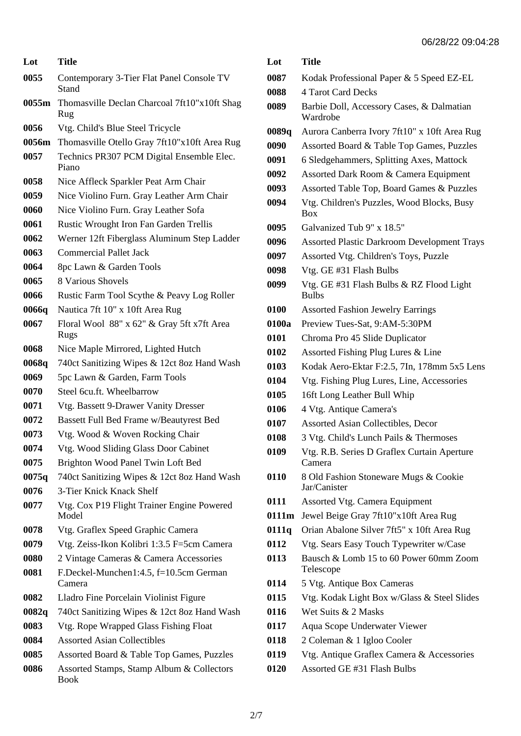| Lot   | <b>Title</b>                                             |
|-------|----------------------------------------------------------|
| 0055  | Contemporary 3-Tier Flat Panel Console TV<br>Stand       |
| 0055m | Thomasville Declan Charcoal 7ft10"x10ft Shag<br>Rug      |
| 0056  | Vtg. Child's Blue Steel Tricycle                         |
| 0056m | Thomasville Otello Gray 7ft10"x10ft Area Rug             |
| 0057  | Technics PR307 PCM Digital Ensemble Elec.<br>Piano       |
| 0058  | Nice Affleck Sparkler Peat Arm Chair                     |
| 0059  | Nice Violino Furn. Gray Leather Arm Chair                |
| 0060  | Nice Violino Furn. Gray Leather Sofa                     |
| 0061  | Rustic Wrought Iron Fan Garden Trellis                   |
| 0062  | Werner 12ft Fiberglass Aluminum Step Ladder              |
| 0063  | <b>Commercial Pallet Jack</b>                            |
| 0064  | 8pc Lawn & Garden Tools                                  |
| 0065  | 8 Various Shovels                                        |
| 0066  | Rustic Farm Tool Scythe & Peavy Log Roller               |
| 0066q | Nautica 7ft 10" x 10ft Area Rug                          |
| 0067  | Floral Wool 88" x 62" & Gray 5ft x7ft Area<br>Rugs       |
| 0068  | Nice Maple Mirrored, Lighted Hutch                       |
| 0068q | 740ct Sanitizing Wipes & 12ct 8oz Hand Wash              |
| 0069  | 5pc Lawn & Garden, Farm Tools                            |
| 0070  | Steel 6cu.ft. Wheelbarrow                                |
| 0071  | Vtg. Bassett 9-Drawer Vanity Dresser                     |
| 0072  | Bassett Full Bed Frame w/Beautyrest Bed                  |
| 0073  | Vtg. Wood & Woven Rocking Chair                          |
| 0074  | Vtg. Wood Sliding Glass Door Cabinet                     |
| 0075  | Brighton Wood Panel Twin Loft Bed                        |
| 0075q | 740ct Sanitizing Wipes & 12ct 8oz Hand Wash              |
| 0076  | 3-Tier Knick Knack Shelf                                 |
| 0077  | Vtg. Cox P19 Flight Trainer Engine Powered<br>Model      |
| 0078  | Vtg. Graflex Speed Graphic Camera                        |
| 0079  | Vtg. Zeiss-Ikon Kolibri 1:3.5 F=5cm Camera               |
| 0080  | 2 Vintage Cameras & Camera Accessories                   |
| 0081  | F.Deckel-Munchen1:4.5, f=10.5cm German<br>Camera         |
| 0082  | Lladro Fine Porcelain Violinist Figure                   |
| 0082q | 740ct Sanitizing Wipes & 12ct 8oz Hand Wash              |
| 0083  | Vtg. Rope Wrapped Glass Fishing Float                    |
| 0084  | <b>Assorted Asian Collectibles</b>                       |
| 0085  | Assorted Board & Table Top Games, Puzzles                |
| 0086  | Assorted Stamps, Stamp Album & Collectors<br><b>Book</b> |

| Lot   | Title                                                    |
|-------|----------------------------------------------------------|
| 0087  | Kodak Professional Paper & 5 Speed EZ-EL                 |
| 0088  | 4 Tarot Card Decks                                       |
| 0089  | Barbie Doll, Accessory Cases, & Dalmatian<br>Wardrobe    |
| 0089q | Aurora Canberra Ivory 7ft10" x 10ft Area Rug             |
| 0090  | Assorted Board & Table Top Games, Puzzles                |
| 0091  | 6 Sledgehammers, Splitting Axes, Mattock                 |
| 0092  | Assorted Dark Room & Camera Equipment                    |
| 0093  | Assorted Table Top, Board Games & Puzzles                |
| 0094  | Vtg. Children's Puzzles, Wood Blocks, Busy<br><b>Box</b> |
| 0095  | Galvanized Tub 9" x 18.5"                                |
| 0096  | <b>Assorted Plastic Darkroom Development Trays</b>       |
| 0097  | Assorted Vtg. Children's Toys, Puzzle                    |
| 0098  | Vtg. GE #31 Flash Bulbs                                  |
| 0099  | Vtg. GE #31 Flash Bulbs & RZ Flood Light<br><b>Bulbs</b> |
| 0100  | <b>Assorted Fashion Jewelry Earrings</b>                 |
| 0100a | Preview Tues-Sat, 9:AM-5:30PM                            |
| 0101  | Chroma Pro 45 Slide Duplicator                           |
| 0102  | Assorted Fishing Plug Lures & Line                       |
| 0103  | Kodak Aero-Ektar F:2.5, 7In, 178mm 5x5 Lens              |
| 0104  | Vtg. Fishing Plug Lures, Line, Accessories               |
| 0105  | 16ft Long Leather Bull Whip                              |
| 0106  | 4 Vtg. Antique Camera's                                  |
| 0107  | Assorted Asian Collectibles, Decor                       |
| 0108  | 3 Vtg. Child's Lunch Pails & Thermoses                   |
| 0109  | Vtg. R.B. Series D Graflex Curtain Aperture<br>Camera    |
| 0110  | 8 Old Fashion Stoneware Mugs & Cookie<br>Jar/Canister    |
| 0111  | Assorted Vtg. Camera Equipment                           |
| 0111m | Jewel Beige Gray 7ft10"x10ft Area Rug                    |
| 0111q | Orian Abalone Silver 7ft5" x 10ft Area Rug               |
| 0112  | Vtg. Sears Easy Touch Typewriter w/Case                  |
| 0113  | Bausch & Lomb 15 to 60 Power 60mm Zoom<br>Telescope      |
| 0114  | 5 Vtg. Antique Box Cameras                               |
| 0115  | Vtg. Kodak Light Box w/Glass & Steel Slides              |
| 0116  | Wet Suits & 2 Masks                                      |
| 0117  | Aqua Scope Underwater Viewer                             |
| 0118  | 2 Coleman & 1 Igloo Cooler                               |
| 0119  | Vtg. Antique Graflex Camera & Accessories                |
| 0120  | Assorted GE #31 Flash Bulbs                              |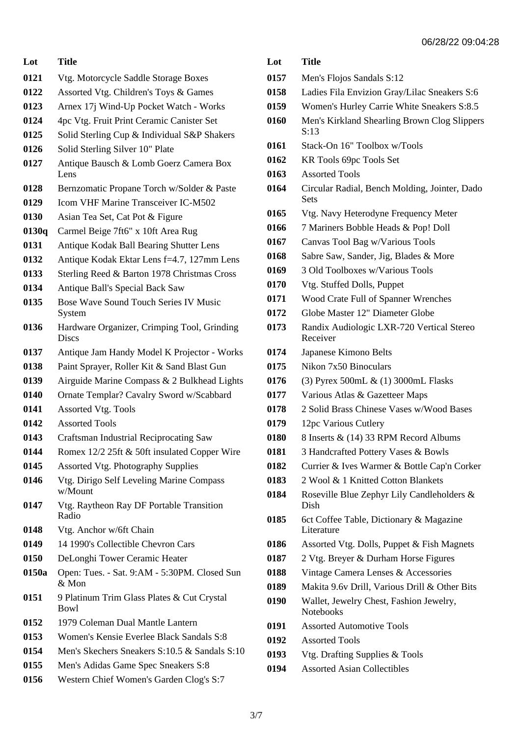| Lot   | Title                                                 |
|-------|-------------------------------------------------------|
| 0121  | Vtg. Motorcycle Saddle Storage Boxes                  |
| 0122  | Assorted Vtg. Children's Toys & Games                 |
| 0123  | Arnex 17j Wind-Up Pocket Watch - Works                |
| 0124  | 4pc Vtg. Fruit Print Ceramic Canister Set             |
| 0125  | Solid Sterling Cup & Individual S&P Shakers           |
| 0126  | Solid Sterling Silver 10" Plate                       |
| 0127  | Antique Bausch & Lomb Goerz Camera Box<br>Lens        |
| 0128  | Bernzomatic Propane Torch w/Solder & Paste            |
| 0129  | Icom VHF Marine Transceiver IC-M502                   |
| 0130  | Asian Tea Set, Cat Pot & Figure                       |
| 0130q | Carmel Beige 7ft6" x 10ft Area Rug                    |
| 0131  | Antique Kodak Ball Bearing Shutter Lens               |
| 0132  | Antique Kodak Ektar Lens f=4.7, 127mm Lens            |
| 0133  | Sterling Reed & Barton 1978 Christmas Cross           |
| 0134  | Antique Ball's Special Back Saw                       |
| 0135  | Bose Wave Sound Touch Series IV Music<br>System       |
| 0136  | Hardware Organizer, Crimping Tool, Grinding<br>Discs  |
| 0137  | Antique Jam Handy Model K Projector - Works           |
| 0138  | Paint Sprayer, Roller Kit & Sand Blast Gun            |
| 0139  | Airguide Marine Compass & 2 Bulkhead Lights           |
| 0140  | Ornate Templar? Cavalry Sword w/Scabbard              |
| 0141  | <b>Assorted Vtg. Tools</b>                            |
| 0142  | <b>Assorted Tools</b>                                 |
| 0143  | <b>Craftsman Industrial Reciprocating Saw</b>         |
| 0144  | Romex 12/2 25ft & 50ft insulated Copper Wire          |
| 0145  | <b>Assorted Vtg. Photography Supplies</b>             |
| 0146  | Vtg. Dirigo Self Leveling Marine Compass<br>w/Mount   |
| 0147  | Vtg. Raytheon Ray DF Portable Transition<br>Radio     |
| 0148  | Vtg. Anchor w/6ft Chain                               |
| 0149  | 14 1990's Collectible Chevron Cars                    |
| 0150  | DeLonghi Tower Ceramic Heater                         |
| 0150a | Open: Tues. - Sat. 9:AM - 5:30PM. Closed Sun<br>& Mon |
| 0151  | 9 Platinum Trim Glass Plates & Cut Crystal<br>Bowl    |
| 0152  | 1979 Coleman Dual Mantle Lantern                      |
| 0153  | Women's Kensie Everlee Black Sandals S:8              |
| 0154  | Men's Skechers Sneakers S:10.5 & Sandals S:10         |
| 0155  | Men's Adidas Game Spec Sneakers S:8                   |
| 0156  | Western Chief Women's Garden Clog's S:7               |

| Lot  | <b>Title</b>                                                |
|------|-------------------------------------------------------------|
| 0157 | Men's Flojos Sandals S:12                                   |
| 0158 | Ladies Fila Envizion Gray/Lilac Sneakers S:6                |
| 0159 | Women's Hurley Carrie White Sneakers S:8.5                  |
| 0160 | Men's Kirkland Shearling Brown Clog Slippers<br>S:13        |
| 0161 | Stack-On 16" Toolbox w/Tools                                |
| 0162 | KR Tools 69pc Tools Set                                     |
| 0163 | <b>Assorted Tools</b>                                       |
| 0164 | Circular Radial, Bench Molding, Jointer, Dado<br>Sets       |
| 0165 | Vtg. Navy Heterodyne Frequency Meter                        |
| 0166 | 7 Mariners Bobble Heads & Pop! Doll                         |
| 0167 | Canvas Tool Bag w/Various Tools                             |
| 0168 | Sabre Saw, Sander, Jig, Blades & More                       |
| 0169 | 3 Old Toolboxes w/Various Tools                             |
| 0170 | Vtg. Stuffed Dolls, Puppet                                  |
| 0171 | Wood Crate Full of Spanner Wrenches                         |
| 0172 | Globe Master 12" Diameter Globe                             |
| 0173 | Randix Audiologic LXR-720 Vertical Stereo<br>Receiver       |
| 0174 | Japanese Kimono Belts                                       |
| 0175 | Nikon 7x50 Binoculars                                       |
| 0176 | (3) Pyrex 500mL & (1) 3000mL Flasks                         |
| 0177 | Various Atlas & Gazetteer Maps                              |
| 0178 | 2 Solid Brass Chinese Vases w/Wood Bases                    |
| 0179 | 12pc Various Cutlery                                        |
| 0180 | 8 Inserts & (14) 33 RPM Record Albums                       |
| 0181 | 3 Handcrafted Pottery Vases & Bowls                         |
| 0182 | Currier & Ives Warmer & Bottle Cap'n Corker                 |
| 0183 | 2 Wool & 1 Knitted Cotton Blankets                          |
| 0184 | Roseville Blue Zephyr Lily Candleholders &<br>Dish          |
| 0185 | 6ct Coffee Table, Dictionary & Magazine<br>Literature       |
| 0186 | Assorted Vtg. Dolls, Puppet & Fish Magnets                  |
| 0187 | 2 Vtg. Breyer & Durham Horse Figures                        |
| 0188 | Vintage Camera Lenses & Accessories                         |
| 0189 | Makita 9.6v Drill, Various Drill & Other Bits               |
| 0190 | Wallet, Jewelry Chest, Fashion Jewelry,<br><b>Notebooks</b> |
| 0191 | <b>Assorted Automotive Tools</b>                            |
| 0192 | <b>Assorted Tools</b>                                       |
| 0193 | Vtg. Drafting Supplies & Tools                              |
| 0194 | <b>Assorted Asian Collectibles</b>                          |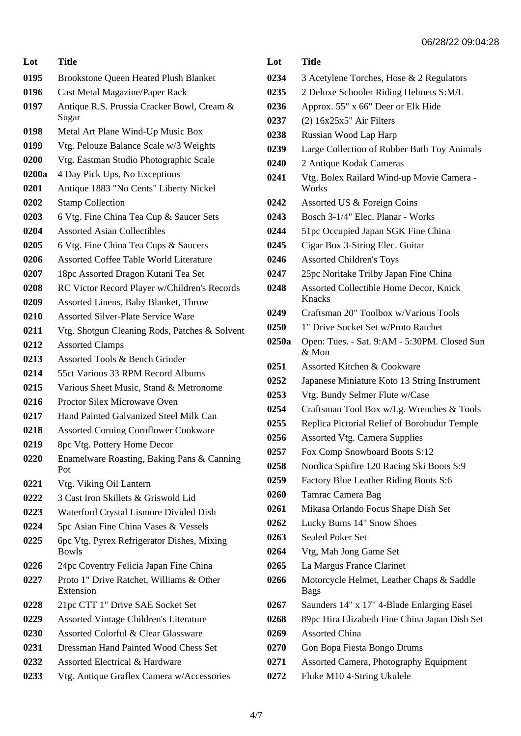| Lot   | <b>Title</b>                                               |
|-------|------------------------------------------------------------|
| 0195  | <b>Brookstone Queen Heated Plush Blanket</b>               |
| 0196  | Cast Metal Magazine/Paper Rack                             |
| 0197  | Antique R.S. Prussia Cracker Bowl, Cream &<br>Sugar        |
| 0198  | Metal Art Plane Wind-Up Music Box                          |
| 0199  | Vtg. Pelouze Balance Scale w/3 Weights                     |
| 0200  | Vtg. Eastman Studio Photographic Scale                     |
| 0200a | 4 Day Pick Ups, No Exceptions                              |
| 0201  | Antique 1883 "No Cents" Liberty Nickel                     |
| 0202  | <b>Stamp Collection</b>                                    |
| 0203  | 6 Vtg. Fine China Tea Cup & Saucer Sets                    |
| 0204  | <b>Assorted Asian Collectibles</b>                         |
| 0205  | 6 Vtg. Fine China Tea Cups & Saucers                       |
| 0206  | <b>Assorted Coffee Table World Literature</b>              |
| 0207  | 18pc Assorted Dragon Kutani Tea Set                        |
| 0208  | RC Victor Record Player w/Children's Records               |
| 0209  | Assorted Linens, Baby Blanket, Throw                       |
| 0210  | <b>Assorted Silver-Plate Service Ware</b>                  |
| 0211  | Vtg. Shotgun Cleaning Rods, Patches & Solvent              |
| 0212  | <b>Assorted Clamps</b>                                     |
| 0213  | Assorted Tools & Bench Grinder                             |
| 0214  | 55ct Various 33 RPM Record Albums                          |
| 0215  | Various Sheet Music, Stand & Metronome                     |
| 0216  | Proctor Silex Microwave Oven                               |
| 0217  | Hand Painted Galvanized Steel Milk Can                     |
| 0218  | <b>Assorted Corning Cornflower Cookware</b>                |
| 0219  | 8pc Vtg. Pottery Home Decor                                |
| 0220  | Enamelware Roasting, Baking Pans & Canning<br>Pot          |
| 0221  | Vtg. Viking Oil Lantern                                    |
| 0222  | 3 Cast Iron Skillets & Griswold Lid                        |
| 0223  | Waterford Crystal Lismore Divided Dish                     |
| 0224  | 5pc Asian Fine China Vases & Vessels                       |
| 0225  | 6pc Vtg. Pyrex Refrigerator Dishes, Mixing<br><b>Bowls</b> |
| 0226  | 24pc Coventry Felicia Japan Fine China                     |
| 0227  | Proto 1" Drive Ratchet, Williams & Other<br>Extension      |
| 0228  | 21pc CTT 1" Drive SAE Socket Set                           |
| 0229  | <b>Assorted Vintage Children's Literature</b>              |
| 0230  | Assorted Colorful & Clear Glassware                        |
| 0231  | Dressman Hand Painted Wood Chess Set                       |
| 0232  | Assorted Electrical & Hardware                             |
| 0233  | Vtg. Antique Graflex Camera w/Accessories                  |

|       | 06/28/22 09:04                                          |
|-------|---------------------------------------------------------|
| Lot   | <b>Title</b>                                            |
| 0234  | 3 Acetylene Torches, Hose & 2 Regulators                |
| 0235  | 2 Deluxe Schooler Riding Helmets S:M/L                  |
| 0236  | Approx. 55" x 66" Deer or Elk Hide                      |
| 0237  | $(2)$ 16x25x5" Air Filters                              |
| 0238  | Russian Wood Lap Harp                                   |
| 0239  | Large Collection of Rubber Bath Toy Animals             |
| 0240  | 2 Antique Kodak Cameras                                 |
| 0241  | Vtg. Bolex Railard Wind-up Movie Camera -<br>Works      |
| 0242  | Assorted US & Foreign Coins                             |
| 0243  | Bosch 3-1/4" Elec. Planar - Works                       |
| 0244  | 51pc Occupied Japan SGK Fine China                      |
| 0245  | Cigar Box 3-String Elec. Guitar                         |
| 0246  | <b>Assorted Children's Toys</b>                         |
| 0247  | 25pc Noritake Trilby Japan Fine China                   |
| 0248  | Assorted Collectible Home Decor, Knick<br>Knacks        |
| 0249  | Craftsman 20" Toolbox w/Various Tools                   |
| 0250  | 1" Drive Socket Set w/Proto Ratchet                     |
| 0250a | Open: Tues. - Sat. 9:AM - 5:30PM. Closed Sun<br>$&$ Mon |
| 0251  | Assorted Kitchen & Cookware                             |
| 0252  | Japanese Miniature Koto 13 String Instrument            |
| 0253  | Vtg. Bundy Selmer Flute w/Case                          |

- Craftsman Tool Box w/Lg. Wrenches & Tools
- Replica Pictorial Relief of Borobudur Temple
- Assorted Vtg. Camera Supplies
- Fox Comp Snowboard Boots S:12
- Nordica Spitfire 120 Racing Ski Boots S:9
- Factory Blue Leather Riding Boots S:6
- Tamrac Camera Bag
- Mikasa Orlando Focus Shape Dish Set
- Lucky Bums 14" Snow Shoes
- Sealed Poker Set
- Vtg, Mah Jong Game Set
- La Margus France Clarinet
- Motorcycle Helmet, Leather Chaps & Saddle Bags
- Saunders 14" x 17" 4-Blade Enlarging Easel
- 89pc Hira Elizabeth Fine China Japan Dish Set
- Assorted China
- Gon Bopa Fiesta Bongo Drums
- Assorted Camera, Photography Equipment
- Fluke M10 4-String Ukulele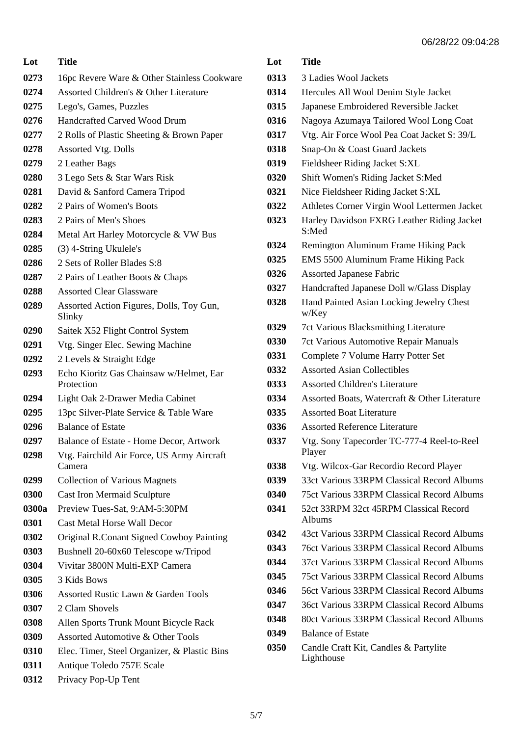| Lot   | <b>Title</b>                                          |
|-------|-------------------------------------------------------|
| 0273  | 16pc Revere Ware & Other Stainless Cookware           |
| 0274  | Assorted Children's & Other Literature                |
| 0275  | Lego's, Games, Puzzles                                |
| 0276  | Handcrafted Carved Wood Drum                          |
| 0277  | 2 Rolls of Plastic Sheeting & Brown Paper             |
| 0278  | Assorted Vtg. Dolls                                   |
| 0279  | 2 Leather Bags                                        |
| 0280  | 3 Lego Sets & Star Wars Risk                          |
| 0281  | David & Sanford Camera Tripod                         |
| 0282  | 2 Pairs of Women's Boots                              |
| 0283  | 2 Pairs of Men's Shoes                                |
| 0284  | Metal Art Harley Motorcycle & VW Bus                  |
| 0285  | (3) 4-String Ukulele's                                |
| 0286  | 2 Sets of Roller Blades S:8                           |
| 0287  | 2 Pairs of Leather Boots & Chaps                      |
| 0288  | <b>Assorted Clear Glassware</b>                       |
| 0289  | Assorted Action Figures, Dolls, Toy Gun,<br>Slinky    |
| 0290  | Saitek X52 Flight Control System                      |
| 0291  | Vtg. Singer Elec. Sewing Machine                      |
| 0292  | 2 Levels & Straight Edge                              |
| 0293  | Echo Kioritz Gas Chainsaw w/Helmet, Ear<br>Protection |
| 0294  | Light Oak 2-Drawer Media Cabinet                      |
| 0295  | 13pc Silver-Plate Service & Table Ware                |
| 0296  | <b>Balance of Estate</b>                              |
| 0297  | Balance of Estate - Home Decor, Artwork               |
| 0298  | Vtg. Fairchild Air Force, US Army Aircraft<br>Camera  |
| 0299  | <b>Collection of Various Magnets</b>                  |
| 0300  | <b>Cast Iron Mermaid Sculpture</b>                    |
| 0300a | Preview Tues-Sat, 9:AM-5:30PM                         |
| 0301  | <b>Cast Metal Horse Wall Decor</b>                    |
| 0302  | Original R.Conant Signed Cowboy Painting              |
| 0303  | Bushnell 20-60x60 Telescope w/Tripod                  |
| 0304  | Vivitar 3800N Multi-EXP Camera                        |
| 0305  | 3 Kids Bows                                           |
| 0306  | Assorted Rustic Lawn & Garden Tools                   |
| 0307  | 2 Clam Shovels                                        |
| 0308  | Allen Sports Trunk Mount Bicycle Rack                 |
| 0309  | Assorted Automotive & Other Tools                     |
| 0310  | Elec. Timer, Steel Organizer, & Plastic Bins          |
| 0311  | Antique Toledo 757E Scale                             |

## **Lot Title**

- 3 Ladies Wool Jackets
- Hercules All Wool Denim Style Jacket
- Japanese Embroidered Reversible Jacket
- Nagoya Azumaya Tailored Wool Long Coat
- Vtg. Air Force Wool Pea Coat Jacket S: 39/L
- Snap-On & Coast Guard Jackets
- Fieldsheer Riding Jacket S:XL
- Shift Women's Riding Jacket S:Med
- Nice Fieldsheer Riding Jacket S:XL
- Athletes Corner Virgin Wool Lettermen Jacket
- Harley Davidson FXRG Leather Riding Jacket S:Med
- Remington Aluminum Frame Hiking Pack
- EMS 5500 Aluminum Frame Hiking Pack
- Assorted Japanese Fabric
- Handcrafted Japanese Doll w/Glass Display
- Hand Painted Asian Locking Jewelry Chest w/Key
- 7ct Various Blacksmithing Literature
- 7ct Various Automotive Repair Manuals
- Complete 7 Volume Harry Potter Set
- Assorted Asian Collectibles
- Assorted Children's Literature
- Assorted Boats, Watercraft & Other Literature
- Assorted Boat Literature
- Assorted Reference Literature
- Vtg. Sony Tapecorder TC-777-4 Reel-to-Reel Player
- Vtg. Wilcox-Gar Recordio Record Player
- 33ct Various 33RPM Classical Record Albums
- 75ct Various 33RPM Classical Record Albums
- 52ct 33RPM 32ct 45RPM Classical Record Albums
- 43ct Various 33RPM Classical Record Albums
- 76ct Various 33RPM Classical Record Albums
- 37ct Various 33RPM Classical Record Albums
- 75ct Various 33RPM Classical Record Albums
- 56ct Various 33RPM Classical Record Albums
- 36ct Various 33RPM Classical Record Albums
- 80ct Various 33RPM Classical Record Albums
- Balance of Estate
- Candle Craft Kit, Candles & Partylite Lighthouse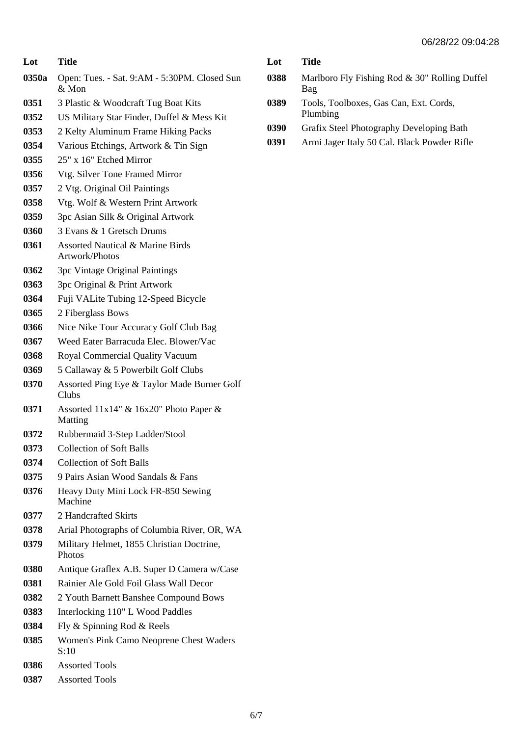| Lot   | <b>Title</b>                                                  |
|-------|---------------------------------------------------------------|
| 0350a | Open: Tues. - Sat. 9:AM - 5:30PM. Closed Sun<br>$&$ Mon       |
| 0351  | 3 Plastic & Woodcraft Tug Boat Kits                           |
| 0352  | US Military Star Finder, Duffel & Mess Kit                    |
| 0353  | 2 Kelty Aluminum Frame Hiking Packs                           |
| 0354  | Various Etchings, Artwork & Tin Sign                          |
| 0355  | 25" x 16" Etched Mirror                                       |
| 0356  | Vtg. Silver Tone Framed Mirror                                |
| 0357  | 2 Vtg. Original Oil Paintings                                 |
| 0358  | Vtg. Wolf & Western Print Artwork                             |
| 0359  | 3pc Asian Silk & Original Artwork                             |
| 0360  | 3 Evans & 1 Gretsch Drums                                     |
| 0361  | <b>Assorted Nautical &amp; Marine Birds</b><br>Artwork/Photos |
| 0362  | 3pc Vintage Original Paintings                                |
| 0363  | 3pc Original & Print Artwork                                  |
| 0364  | Fuji VALite Tubing 12-Speed Bicycle                           |
| 0365  | 2 Fiberglass Bows                                             |
| 0366  | Nice Nike Tour Accuracy Golf Club Bag                         |
| 0367  | Weed Eater Barracuda Elec. Blower/Vac                         |
| 0368  | Royal Commercial Quality Vacuum                               |
| 0369  | 5 Callaway & 5 Powerbilt Golf Clubs                           |
| 0370  | Assorted Ping Eye & Taylor Made Burner Golf<br>Clubs          |
| 0371  | Assorted 11x14" & 16x20" Photo Paper &<br>Matting             |
| 0372  | Rubbermaid 3-Step Ladder/Stool                                |
| 0373  | <b>Collection of Soft Balls</b>                               |
| 0374  | <b>Collection of Soft Balls</b>                               |
| 0375  | 9 Pairs Asian Wood Sandals & Fans                             |
| 0376  | Heavy Duty Mini Lock FR-850 Sewing<br>Machine                 |
| 0377  | 2 Handcrafted Skirts                                          |
| 0378  | Arial Photographs of Columbia River, OR, WA                   |
| 0379  | Military Helmet, 1855 Christian Doctrine,<br><b>Photos</b>    |
| 0380  | Antique Graflex A.B. Super D Camera w/Case                    |
| 0381  | Rainier Ale Gold Foil Glass Wall Decor                        |
| 0382  | 2 Youth Barnett Banshee Compound Bows                         |
| 0383  | Interlocking 110" L Wood Paddles                              |
| 0384  | Fly & Spinning Rod & Reels                                    |
| 0385  | Women's Pink Camo Neoprene Chest Waders<br>S:10               |
| 0386  | <b>Assorted Tools</b>                                         |

| <b>Title</b> |
|--------------|
|              |

- Marlboro Fly Fishing Rod & 30" Rolling Duffel Bag
- Tools, Toolboxes, Gas Can, Ext. Cords, Plumbing
- Grafix Steel Photography Developing Bath
- Armi Jager Italy 50 Cal. Black Powder Rifle